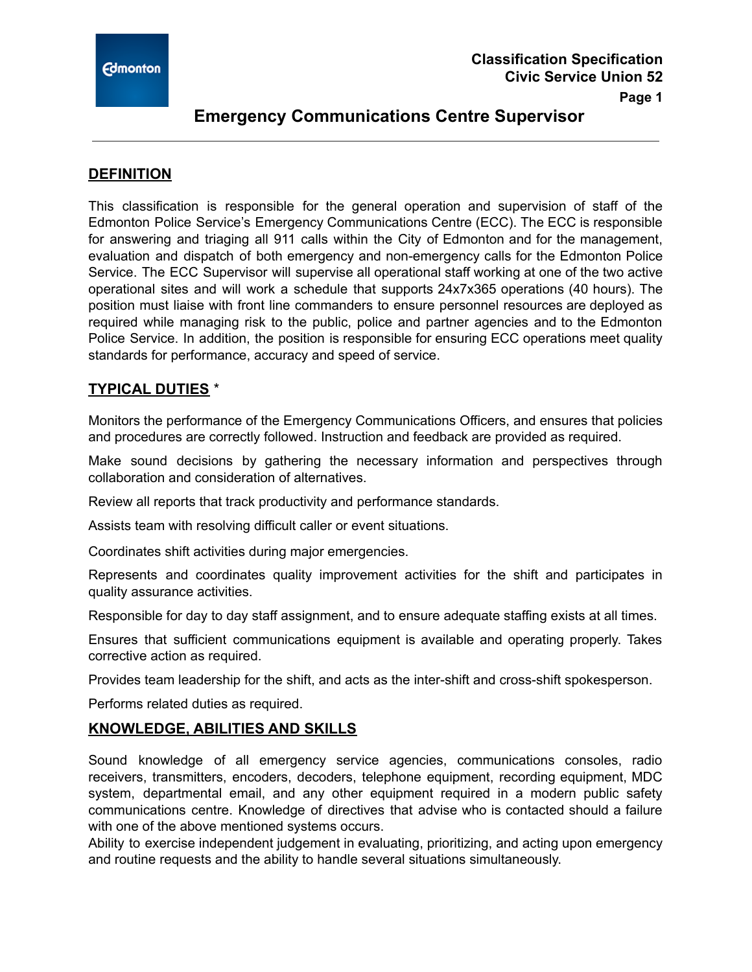

## **Emergency Communications Centre Supervisor**

### **DEFINITION**

This classification is responsible for the general operation and supervision of staff of the Edmonton Police Service's Emergency Communications Centre (ECC). The ECC is responsible for answering and triaging all 911 calls within the City of Edmonton and for the management, evaluation and dispatch of both emergency and non-emergency calls for the Edmonton Police Service. The ECC Supervisor will supervise all operational staff working at one of the two active operational sites and will work a schedule that supports 24x7x365 operations (40 hours). The position must liaise with front line commanders to ensure personnel resources are deployed as required while managing risk to the public, police and partner agencies and to the Edmonton Police Service. In addition, the position is responsible for ensuring ECC operations meet quality standards for performance, accuracy and speed of service.

## **TYPICAL DUTIES** \*

Monitors the performance of the Emergency Communications Officers, and ensures that policies and procedures are correctly followed. Instruction and feedback are provided as required.

Make sound decisions by gathering the necessary information and perspectives through collaboration and consideration of alternatives.

Review all reports that track productivity and performance standards.

Assists team with resolving difficult caller or event situations.

Coordinates shift activities during major emergencies.

Represents and coordinates quality improvement activities for the shift and participates in quality assurance activities.

Responsible for day to day staff assignment, and to ensure adequate staffing exists at all times.

Ensures that sufficient communications equipment is available and operating properly. Takes corrective action as required.

Provides team leadership for the shift, and acts as the inter-shift and cross-shift spokesperson.

Performs related duties as required.

### **KNOWLEDGE, ABILITIES AND SKILLS**

Sound knowledge of all emergency service agencies, communications consoles, radio receivers, transmitters, encoders, decoders, telephone equipment, recording equipment, MDC system, departmental email, and any other equipment required in a modern public safety communications centre. Knowledge of directives that advise who is contacted should a failure with one of the above mentioned systems occurs.

Ability to exercise independent judgement in evaluating, prioritizing, and acting upon emergency and routine requests and the ability to handle several situations simultaneously.